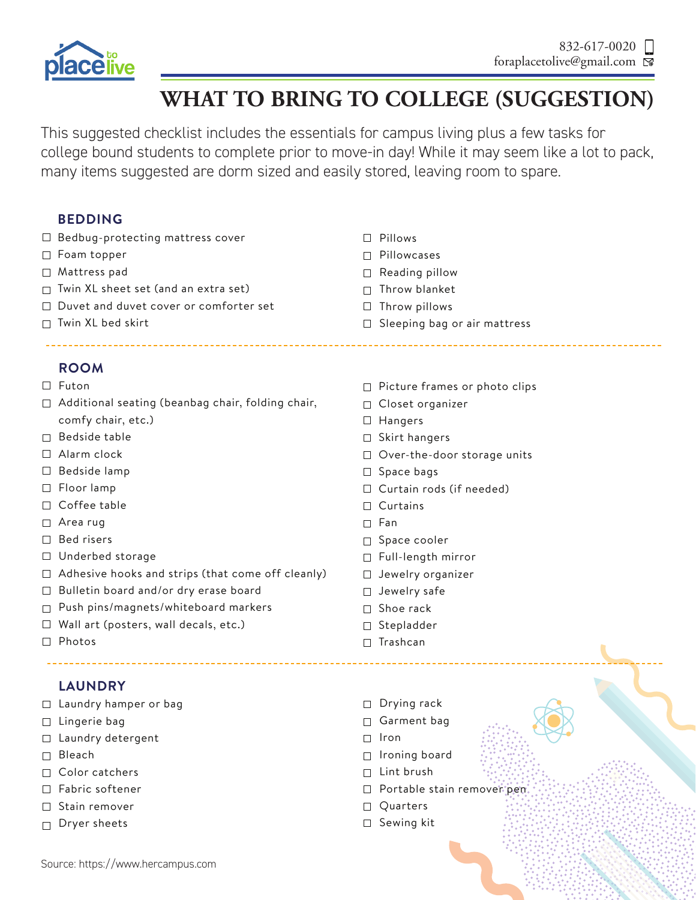

# **WHAT TO BRING TO COLLEGE (SUGGESTION)**

This suggested checklist includes the essentials for campus living plus a few tasks for college bound students to complete prior to move-in day! While it may seem like a lot to pack, many items suggested are dorm sized and easily stored, leaving room to spare.

| <b>BEDDING</b>                                           |                                      |
|----------------------------------------------------------|--------------------------------------|
| $\Box$ Bedbug-protecting mattress cover                  | Pillows<br>$\Box$                    |
| □ Foam topper                                            | Pillowcases<br>П                     |
| □ Mattress pad                                           | Reading pillow<br>$\perp$            |
| □ Twin XL sheet set (and an extra set)                   | Throw blanket<br>$\Box$              |
| □ Duvet and duvet cover or comforter set                 | Throw pillows<br>$\Box$              |
| $\Box$ Twin XL bed skirt                                 | $\Box$ Sleeping bag or air mattress  |
| <b>ROOM</b>                                              |                                      |
| $\Box$ Futon                                             | $\Box$ Picture frames or photo clips |
| $\Box$ Additional seating (beanbag chair, folding chair, | Closet organizer<br>$\Box$           |
| comfy chair, etc.)                                       | Hangers<br>$\Box$                    |
| $\Box$ Bedside table                                     | Skirt hangers<br>$\Box$              |
| $\Box$ Alarm clock                                       | $\Box$ Over-the-door storage units   |
| $\Box$ Bedside lamp                                      | $\Box$ Space bags                    |
| $\Box$ Floor lamp                                        | Curtain rods (if needed)             |
| □ Coffee table                                           | Curtains<br>$\perp$                  |
| $\Box$ Area rug                                          | Fan<br>П                             |
| $\Box$ Bed risers                                        | Space cooler<br>П                    |
| □ Underbed storage                                       | □ Full-length mirror                 |
| $\Box$ Adhesive hooks and strips (that come off cleanly) | □ Jewelry organizer                  |
| □ Bulletin board and/or dry erase board                  | Jewelry safe<br>$\Box$               |
| □ Push pins/magnets/whiteboard markers                   | Shoe rack<br>П                       |
| $\Box$ Wall art (posters, wall decals, etc.)             | Stepladder<br>$\Box$                 |
| $\Box$ Photos                                            | $\Box$ Trashcan                      |
| -----------------------------------<br><b>LAUNDRY</b>    |                                      |
| $\Box$ Laundry hamper or bag                             | Drying rack<br>$\Box$                |
| $\Box$ Lingerie bag                                      | Garment bag                          |
| □ Laundry detergent                                      | Iron                                 |
| $\Box$ Distribution of $\Box$                            | المستمرعا تمرين والمراري والمستنقل   |

- □ Bleach
- □ Color catchers
- □ Fabric softener
- $\Box$  Stain remover
- $\Box$  Dryer sheets
- $\Box$  Ironing board
- $\Box$  Lint brush
- □ Portable stain remover pen
- □ Quarters
- □ Sewing kit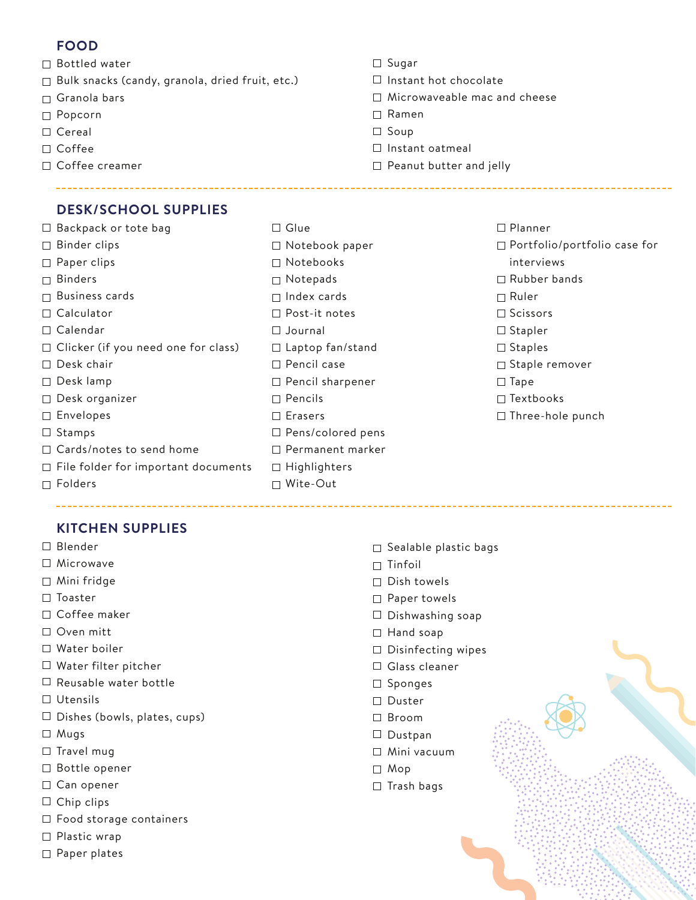## **FOOD**

- □ Bottled water
- $\Box$  Bulk snacks (candy, granola, dried fruit, etc.)
- Granola bars
- □ Popcorn
- Cereal
- □ Coffee
- Coffee creamer

# 

- **DESK/SCHOOL SUPPLIES**  $\Box$  Backpack or tote bag □ Binder clips
- □ Paper clips
- $\Box$  Binders
- $\Box$  Business cards
- □ Calculator
- Calendar
- $\Box$  Clicker (if you need one for class)
- Desk chair
- Desk lamp
- Desk organizer
- □ Envelopes
- □ Stamps
- □ Cards/notes to send home
- $\Box$  File folder for important documents

--------------------------------------

□ Folders

## **KITCHEN SUPPLIES**

- □ Blender
- $\Box$  Microwave
- $\Box$  Mini fridge
- $\Box$  Toaster
- $\Box$  Coffee maker
- □ Oven mitt
- Water boiler
- Water filter pitcher
- $\Box$  Reusable water bottle
- Utensils
- $\Box$  Dishes (bowls, plates, cups)
- $\Box$  Mugs
- $\Box$  Travel mug
- □ Bottle opener
- □ Can opener
- $\Box$  Chip clips
- $\Box$  Food storage containers
- □ Plastic wrap
- Paper plates
- $\Box$  Sugar
- $\Box$  Instant hot chocolate
- □ Microwaveable mac and cheese
- Ramen
- $\Box$  Soup
- $\Box$  Instant oatmeal
- $\Box$  Peanut butter and jelly
- □ Glue Notebook paper Notebooks  $\Box$  Notepads  $\Box$  Index cards □ Post-it notes Journal □ Laptop fan/stand  $\Box$  Pencil case □ Pencil sharpener  $\Box$  Pencils □ Erasers □ Pens/colored pens □ Permanent marker  $\Box$  Highlighters Wite-Out
- Planner
- □ Portfolio/portfolio case for
- interviews
- Rubber bands

--------------------------------------

- $\Box$  Ruler
- $\square$  Scissors
- □ Stapler
- $\square$  Staples
- □ Staple remover
- $\Box$  Tape
- $\square$  Textbooks
- $\Box$  Three-hole punch

- $\Box$  Sealable plastic bags
- $\sqcap$  Tinfoil
- $\Box$  Dish towels
- □ Paper towels
- $\Box$  Dishwashing soap
- $\Box$  Hand soap
- $\square$  Disinfecting wipes
- □ Glass cleaner
- □ Sponges
- □ Duster
- □ Broom
- Dustpan
- Mini vacuum
- Mop
- $\Box$  Trash bags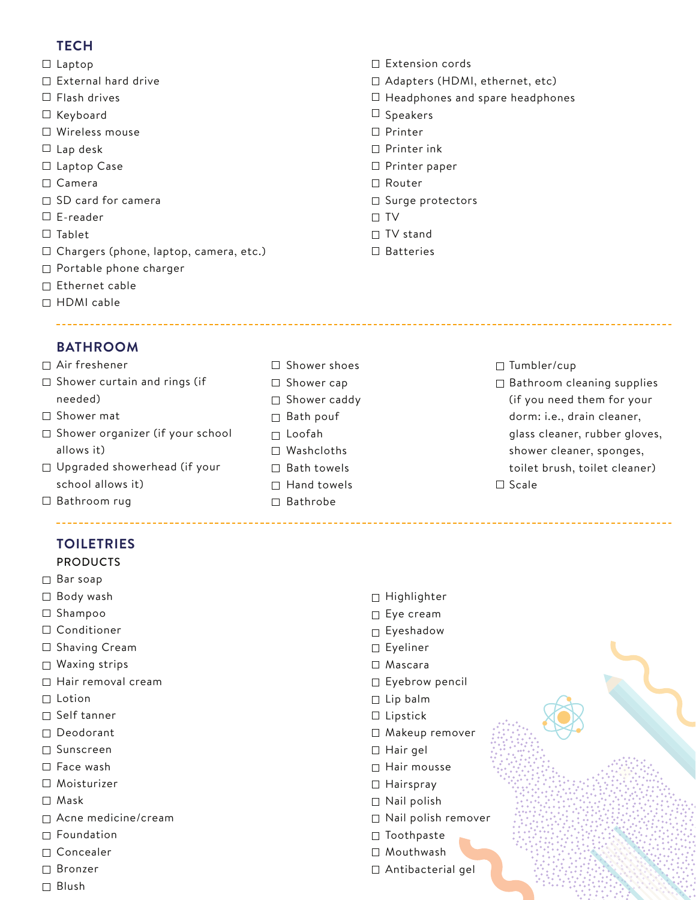## **TECH**

- $\square$  Laptop
- $\Box$  External hard drive
- $\Box$  Flash drives
- $\Box$  Keyboard
- Wireless mouse
- $\Box$  Lap desk
- □ Laptop Case
- Camera
- □ SD card for camera
- E-reader
- $\Box$  Tablet
- $\Box$  Chargers (phone, laptop, camera, etc.)
- □ Portable phone charger
- □ Ethernet cable
- □ HDMI cable

## **BATHROOM**

- Air freshener
- $\Box$  Shower curtain and rings (if needed)
- □ Shower mat
- □ Shower organizer (if your school allows it)
- □ Upgraded showerhead (if your school allows it)
- □ Bathroom rug

## **TOILETRIES**

#### PRODUCTS

- □ Bar soap
- □ Body wash
- Shampoo
- □ Conditioner
- $\Box$  Shaving Cream
- $\Box$  Waxing strips
- □ Hair removal cream
- $\Box$  Lotion
- $\Box$  Self tanner
- Deodorant
- Sunscreen
- $\Box$  Face wash
- Moisturizer
- Mask
- Acne medicine/cream
- $\Box$  Foundation
- Concealer
- □ Bronzer
- Blush
- $\Box$  Extension cords
- Adapters (HDMI, ethernet, etc)
- $\Box$  Headphones and spare headphones
- $\Box$  Speakers
- □ Printer
- □ Printer ink
- $\Box$  Printer paper
- □ Router
- $\Box$  Surge protectors
- $\Box$  TV
- $\Box$  TV stand
- □ Batteries

- $\Box$  Shower shoes □ Shower cap □ Shower caddy Bath pouf Loofah □ Washcloths  $\Box$  Bath towels  $\Box$  Hand towels
- Bathrobe
- □ Tumbler/cup
- $\Box$  Bathroom cleaning supplies (if you need them for your dorm: i.e., drain cleaner, glass cleaner, rubber gloves, shower cleaner, sponges, toilet brush, toilet cleaner) Scale
- □ Highlighter □ Eye cream Eyeshadow □ Eyeliner Mascara Eyebrow pencil  $\Box$  Lip balm  $\square$  Lipstick Makeup remover  $\Box$  Hair gel □ Hair mousse □ Hairspray □ Nail polish □ Nail polish remover □ Toothpaste Mouthwash Antibacterial gel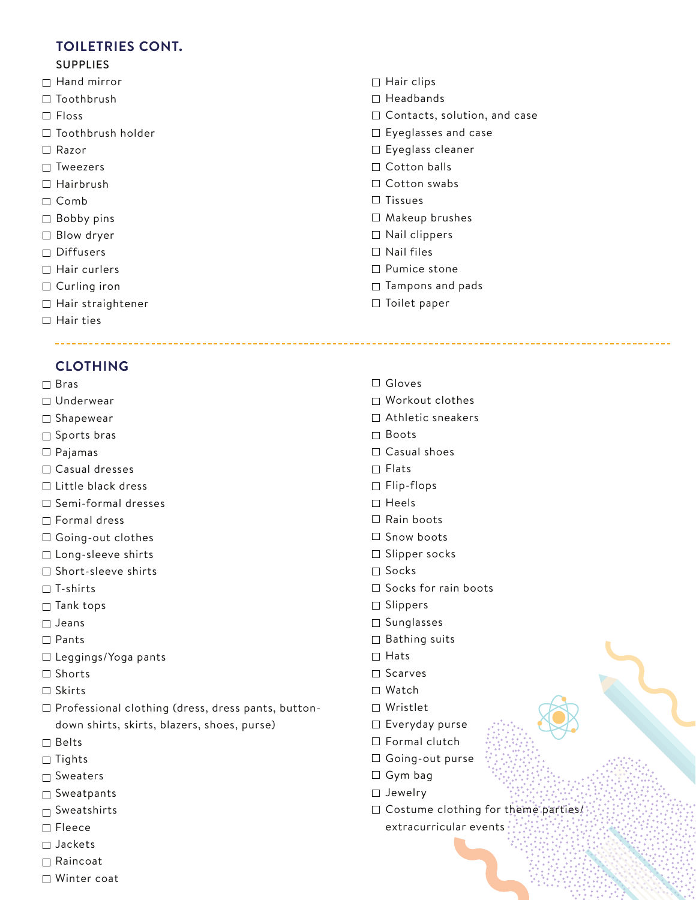### **TOILETRIES CONT.**

#### **SUPPLIES**

- $\Box$  Hand mirror
- □ Toothbrush
- $\Box$  Floss
- □ Toothbrush holder
- □ Razor
- $\square$  Tweezers
- $\Box$  Hairbrush
- □ Comb
- □ Bobby pins
- □ Blow dryer
- □ Diffusers
- $\Box$  Hair curlers
- $\square$  Curling iron
- □ Hair straightener
- $\Box$  Hair ties

## **CLOTHING**

- Bras
- Underwear
- □ Shapewear
- □ Sports bras
- Pajamas
- Casual dresses
- Little black dress
- $\square$  Semi-formal dresses
- Formal dress
- □ Going-out clothes
- Long-sleeve shirts
- $\square$  Short-sleeve shirts
- $\Box$  T-shirts
- $\Box$  Tank tops
- $\Box$  Jeans
- □ Pants
- Leggings/Yoga pants
- □ Shorts
- $\Box$  Skirts
- $\Box$  Professional clothing (dress, dress pants, buttondown shirts, skirts, blazers, shoes, purse)
- □ Belts
- $\Box$  Tights
- $\Box$  Sweaters
- $\Box$  Sweatpants
- $\Box$  Sweatshirts
- $\Box$  Fleece
- □ Jackets
- Raincoat
- Winter coat
- $\Box$  Hair clips
- $\Box$  Headbands
- $\Box$  Contacts, solution, and case
- Eyeglasses and case
- Eyeglass cleaner
- □ Cotton balls
- □ Cotton swabs
- $\Box$  Tissues
- Makeup brushes
- $\Box$  Nail clippers
- $\Box$  Nail files
- □ Pumice stone
- $\Box$  Tampons and pads
- □ Toilet paper
- Gloves
- Workout clothes
- Athletic sneakers
- Boots
- □ Casual shoes
- $\Box$  Flats
- □ Flip-flops
- $\Box$  Heels
- $\Box$  Rain boots
- $\square$  Snow boots
- $\square$  Slipper socks
- $\Box$  Socks
- $\Box$  Socks for rain boots
- $\square$  Slippers
- Sunglasses
- $\Box$  Bathing suits
- $\Box$  Hats
- $\Box$  Scarves
- Watch
- Wristlet
- $\Box$  Everyday purse
- $\Box$  Formal clutch
- Going-out purse
- Gym bag
- □ Jewelry
- $\square$  Costume clothing for theme parties/
- extracurricular events